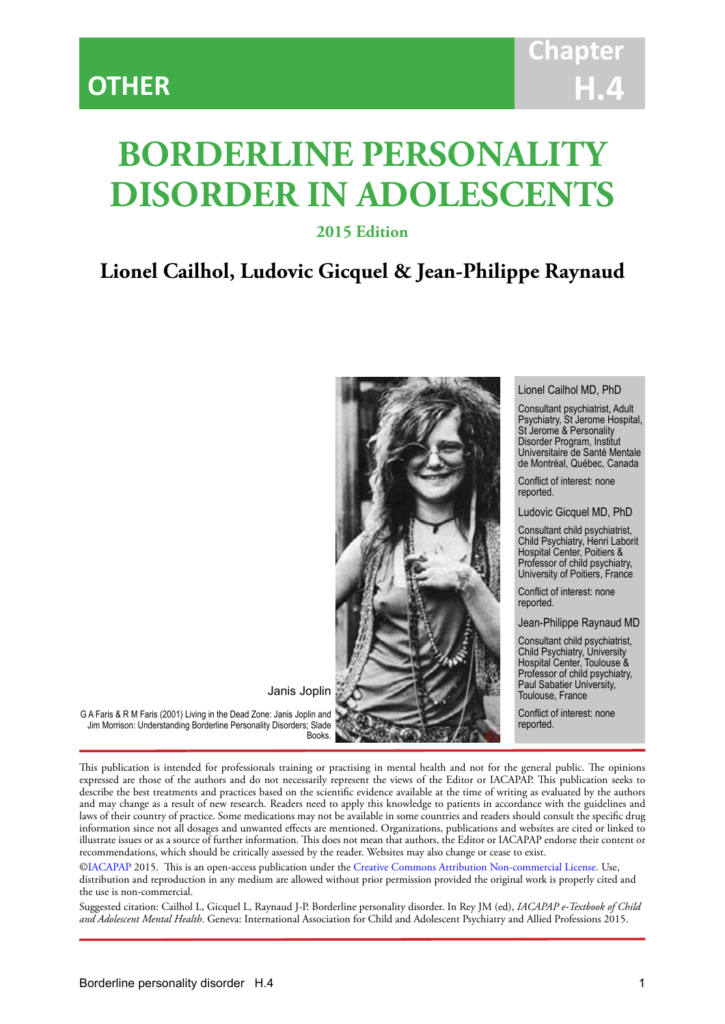# **BORDERLINE PERSONALITY DISORDER IN ADOLESCENTS**

IACAPAP Textbook of Child and Adolescent Mental Health

# **2015 Edition**

# **Lionel Cailhol, Ludovic Gicquel & Jean-Philippe Raynaud**



Lionel Cailhol MD, PhD

Consultant psychiatrist, Adult Psychiatry, St Jerome Hospital, St Jerome & Personality Disorder Program, Institut Universitaire de Santé Mentale de Montréal, Québec, Canada

Conflict of interest: none reported.

Ludovic Gicquel MD, PhD

Consultant child psychiatrist, Child Psychiatry, Henri Laborit Hospital Center, Poitiers & Professor of child psychiatry, University of Poitiers, France

Conflict of interest: none reported.

Jean-Philippe Raynaud MD

Consultant child psychiatrist, Child Psychiatry, University Hospital Center, Toulouse & Professor of child psychiatry, Paul Sabatier University, Toulouse, France

Conflict of interest: none reported.

G A Faris & R M Faris (2001) Living in the Dead Zone: Janis Joplin and Jim Morrison: Understanding Borderline Personality Disorders; Slade

This publication is intended for professionals training or practising in mental health and not for the general public. The opinions expressed are those of the authors and do not necessarily represent the views of the Editor or IACAPAP. This publication seeks to describe the best treatments and practices based on the scientific evidence available at the time of writing as evaluated by the authors and may change as a result of new research. Readers need to apply this knowledge to patients in accordance with the guidelines and laws of their country of practice. Some medications may not be available in some countries and readers should consult the specific drug information since not all dosages and unwanted effects are mentioned. Organizations, publications and websites are cited or linked to illustrate issues or as a source of further information. This does not mean that authors, the Editor or IACAPAP endorse their content or recommendations, which should be critically assessed by the reader. Websites may also change or cease to exist.

[©IACAPAP](http://iacapap.org) 2015. This is an open-access publication under the [Creative Commons Attribution Non-commercial License](http://creativecommons.org). Use, distribution and reproduction in any medium are allowed without prior permission provided the original work is properly cited and the use is non-commercial.

Suggested citation: Cailhol L, Gicquel L, Raynaud J-P. Borderline personality disorder. In Rey JM (ed), *IACAPAP e-Textbook of Child and Adolescent Mental Health*. Geneva: International Association for Child and Adolescent Psychiatry and Allied Professions 2015.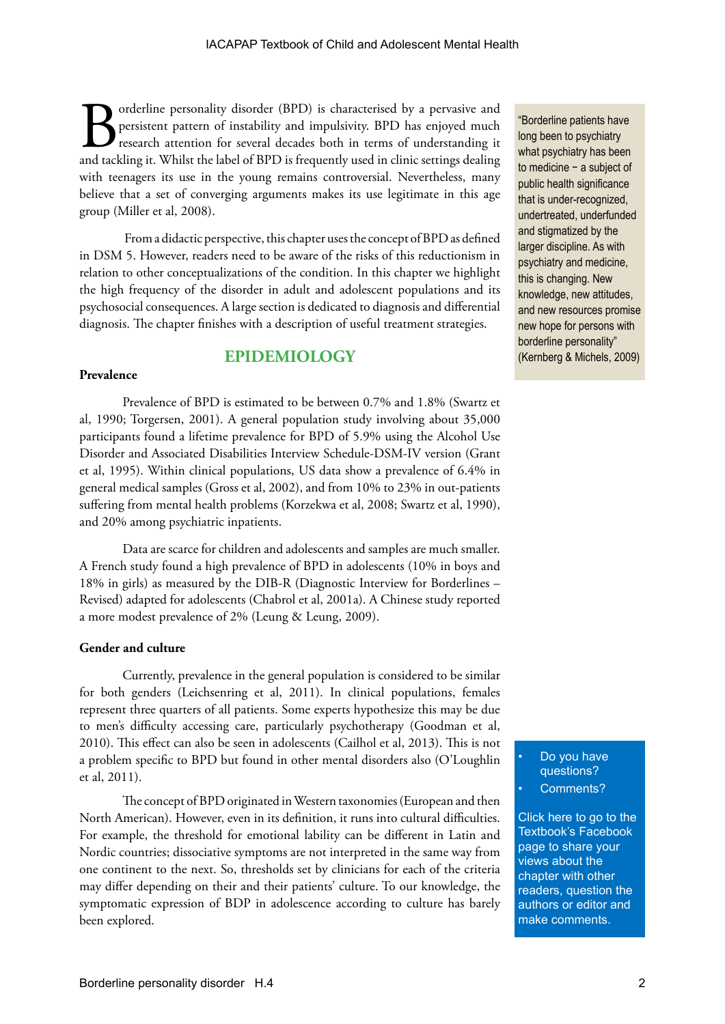**Borderline personality disorder (BPD) is characterised by a pervasive and persistent pattern of instability and impulsivity. BPD has enjoyed much research attention for several decades both in terms of understanding it an** persistent pattern of instability and impulsivity. BPD has enjoyed much research attention for several decades both in terms of understanding it and tackling it. Whilst the label of BPD is frequently used in clinic settings dealing with teenagers its use in the young remains controversial. Nevertheless, many believe that a set of converging arguments makes its use legitimate in this age group (Miller et al, 2008).

 From a didactic perspective, this chapter uses the concept of BPD as defined in DSM 5. However, readers need to be aware of the risks of this reductionism in relation to other conceptualizations of the condition. In this chapter we highlight the high frequency of the disorder in adult and adolescent populations and its psychosocial consequences. A large section is dedicated to diagnosis and differential diagnosis. The chapter finishes with a description of useful treatment strategies.

# **EPIDEMIOLOGY**

#### **Prevalence**

Prevalence of BPD is estimated to be between 0.7% and 1.8% (Swartz et al, 1990; Torgersen, 2001). A general population study involving about 35,000 participants found a lifetime prevalence for BPD of 5.9% using the Alcohol Use Disorder and Associated Disabilities Interview Schedule-DSM-IV version (Grant et al, 1995). Within clinical populations, US data show a prevalence of 6.4% in general medical samples (Gross et al, 2002), and from 10% to 23% in out-patients suffering from mental health problems (Korzekwa et al, 2008; Swartz et al, 1990), and 20% among psychiatric inpatients.

Data are scarce for children and adolescents and samples are much smaller. A French study found a high prevalence of BPD in adolescents (10% in boys and 18% in girls) as measured by the DIB-R (Diagnostic Interview for Borderlines – Revised) adapted for adolescents (Chabrol et al, 2001a). A Chinese study reported a more modest prevalence of 2% (Leung & Leung, 2009).

#### **Gender and culture**

Currently, prevalence in the general population is considered to be similar for both genders (Leichsenring et al, 2011). In clinical populations, females represent three quarters of all patients. Some experts hypothesize this may be due to men's difficulty accessing care, particularly psychotherapy (Goodman et al, 2010). This effect can also be seen in adolescents (Cailhol et al, 2013). This is not a problem specific to BPD but found in other mental disorders also (O'Loughlin et al, 2011).

The concept of BPD originated in Western taxonomies (European and then North American). However, even in its definition, it runs into cultural difficulties. For example, the threshold for emotional lability can be different in Latin and Nordic countries; dissociative symptoms are not interpreted in the same way from one continent to the next. So, thresholds set by clinicians for each of the criteria may differ depending on their and their patients' culture. To our knowledge, the symptomatic expression of BDP in adolescence according to culture has barely been explored.

"Borderline patients have long been to psychiatry what psychiatry has been to medicine − a subject of public health significance that is under-recognized, undertreated, underfunded and stigmatized by the larger discipline. As with psychiatry and medicine, this is changing. New knowledge, new attitudes, and new resources promise new hope for persons with borderline personality" (Kernberg & Michels, 2009)

> Do you have questions? Comments?

[Click here to go to the](https://www.facebook.com/pages/IACAPAP-Textbook-of-Child-and-Adolescent-Mental-Health/249690448525378)  Textbook's Facebook page to share your views about the chapter with other readers, question the authors or editor and make comments.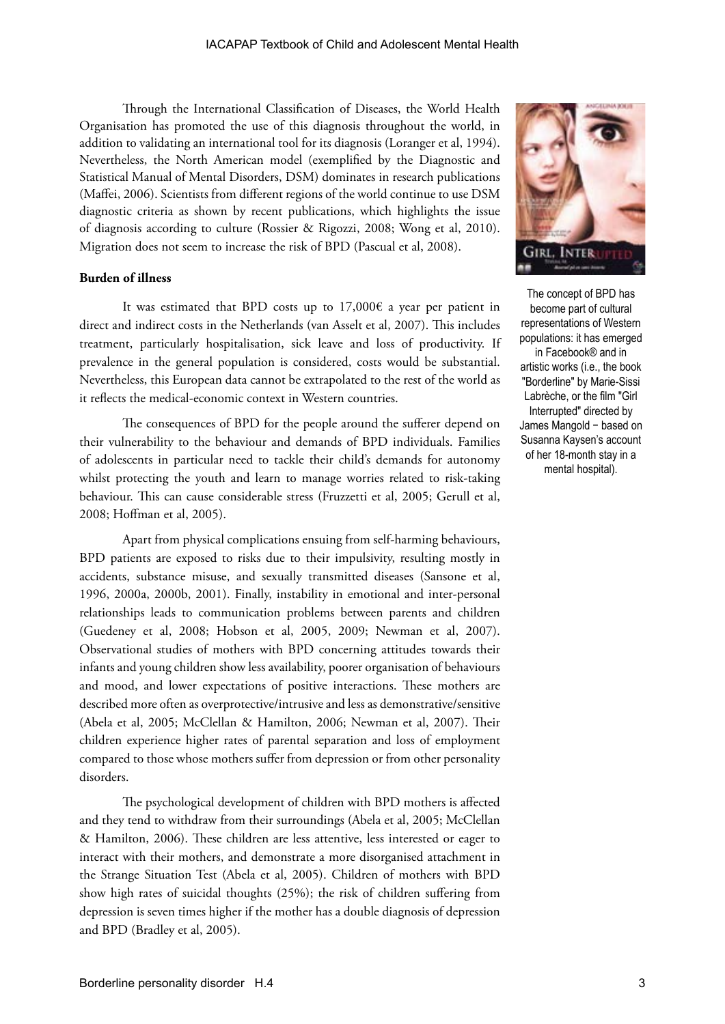Through the International Classification of Diseases, the World Health Organisation has promoted the use of this diagnosis throughout the world, in addition to validating an international tool for its diagnosis (Loranger et al, 1994). Nevertheless, the North American model (exemplified by the Diagnostic and Statistical Manual of Mental Disorders, DSM) dominates in research publications (Maffei, 2006). Scientists from different regions of the world continue to use DSM diagnostic criteria as shown by recent publications, which highlights the issue of diagnosis according to culture (Rossier & Rigozzi, 2008; Wong et al, 2010). Migration does not seem to increase the risk of BPD (Pascual et al, 2008).

#### **Burden of illness**

It was estimated that BPD costs up to  $17,000\epsilon$  a year per patient in direct and indirect costs in the Netherlands (van Asselt et al, 2007). This includes treatment, particularly hospitalisation, sick leave and loss of productivity. If prevalence in the general population is considered, costs would be substantial. Nevertheless, this European data cannot be extrapolated to the rest of the world as it reflects the medical-economic context in Western countries.

The consequences of BPD for the people around the sufferer depend on their vulnerability to the behaviour and demands of BPD individuals. Families of adolescents in particular need to tackle their child's demands for autonomy whilst protecting the youth and learn to manage worries related to risk-taking behaviour. This can cause considerable stress (Fruzzetti et al, 2005; Gerull et al, 2008; Hoffman et al, 2005).

Apart from physical complications ensuing from self-harming behaviours, BPD patients are exposed to risks due to their impulsivity, resulting mostly in accidents, substance misuse, and sexually transmitted diseases (Sansone et al, 1996, 2000a, 2000b, 2001). Finally, instability in emotional and inter-personal relationships leads to communication problems between parents and children (Guedeney et al, 2008; Hobson et al, 2005, 2009; Newman et al, 2007). Observational studies of mothers with BPD concerning attitudes towards their infants and young children show less availability, poorer organisation of behaviours and mood, and lower expectations of positive interactions. These mothers are described more often as overprotective/intrusive and less as demonstrative/sensitive (Abela et al, 2005; McClellan & Hamilton, 2006; Newman et al, 2007). Their children experience higher rates of parental separation and loss of employment compared to those whose mothers suffer from depression or from other personality disorders.

The psychological development of children with BPD mothers is affected and they tend to withdraw from their surroundings (Abela et al, 2005; McClellan & Hamilton, 2006). These children are less attentive, less interested or eager to interact with their mothers, and demonstrate a more disorganised attachment in the Strange Situation Test (Abela et al, 2005). Children of mothers with BPD show high rates of suicidal thoughts (25%); the risk of children suffering from depression is seven times higher if the mother has a double diagnosis of depression and BPD (Bradley et al, 2005).



The concept of BPD has become part of cultural representations of Western populations: it has emerged in Facebook® and in artistic works (i.e., the book "Borderline" by Marie-Sissi Labrèche, or the film "Girl Interrupted" directed by James Mangold − based on Susanna Kaysen's account of her 18-month stay in a mental hospital).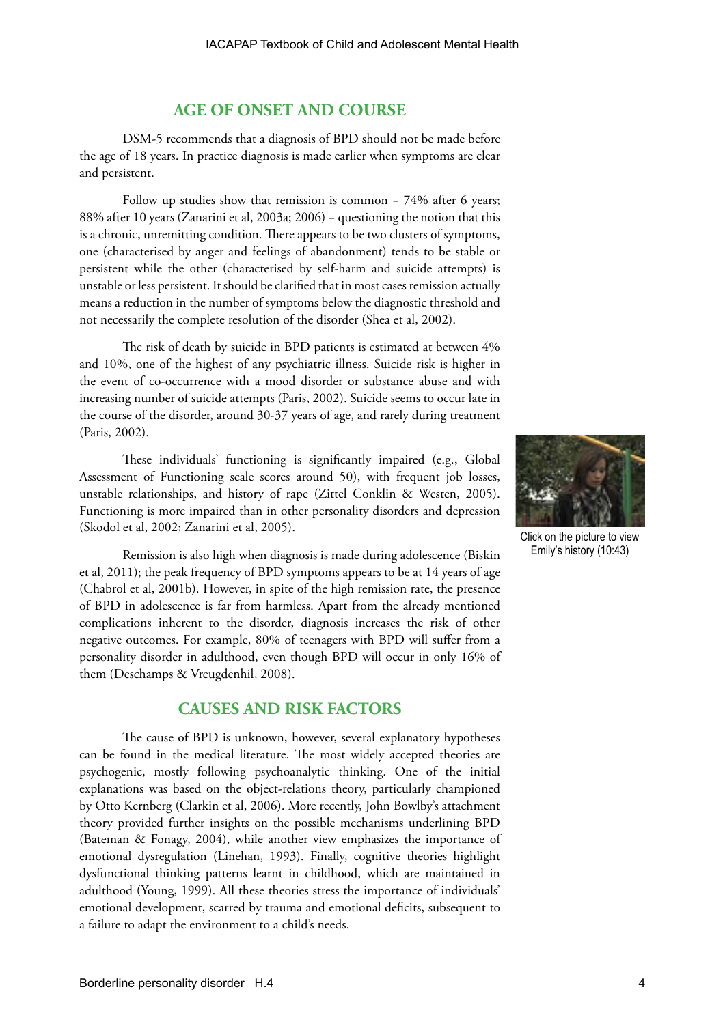# **AGE OF ONSET AND COURSE**

DSM-5 recommends that a diagnosis of BPD should not be made before the age of 18 years. In practice diagnosis is made earlier when symptoms are clear and persistent.

Follow up studies show that remission is common − 74% after 6 years; 88% after 10 years (Zanarini et al, 2003a; 2006) − questioning the notion that this is a chronic, unremitting condition. There appears to be two clusters of symptoms, one (characterised by anger and feelings of abandonment) tends to be stable or persistent while the other (characterised by self-harm and suicide attempts) is unstable or less persistent. It should be clarified that in most cases remission actually means a reduction in the number of symptoms below the diagnostic threshold and not necessarily the complete resolution of the disorder (Shea et al, 2002).

The risk of death by suicide in BPD patients is estimated at between 4% and 10%, one of the highest of any psychiatric illness. Suicide risk is higher in the event of co-occurrence with a mood disorder or substance abuse and with increasing number of suicide attempts (Paris, 2002). Suicide seems to occur late in the course of the disorder, around 30-37 years of age, and rarely during treatment (Paris, 2002).

These individuals' functioning is significantly impaired (e.g., Global Assessment of Functioning scale scores around 50), with frequent job losses, unstable relationships, and history of rape (Zittel Conklin & Westen, 2005). Functioning is more impaired than in other personality disorders and depression (Skodol et al, 2002; Zanarini et al, 2005).

Remission is also high when diagnosis is made during adolescence (Biskin et al, 2011); the peak frequency of BPD symptoms appears to be at 14 years of age (Chabrol et al, 2001b). However, in spite of the high remission rate, the presence of BPD in adolescence is far from harmless. Apart from the already mentioned complications inherent to the disorder, diagnosis increases the risk of other negative outcomes. For example, 80% of teenagers with BPD will suffer from a personality disorder in adulthood, even though BPD will occur in only 16% of them (Deschamps & Vreugdenhil, 2008).

# **CAUSES AND RISK FACTORS**

The cause of BPD is unknown, however, several explanatory hypotheses can be found in the medical literature. The most widely accepted theories are psychogenic, mostly following psychoanalytic thinking. One of the initial explanations was based on the object-relations theory, particularly championed by Otto Kernberg (Clarkin et al, 2006). More recently, John Bowlby's attachment theory provided further insights on the possible mechanisms underlining BPD (Bateman & Fonagy, 2004), while another view emphasizes the importance of emotional dysregulation (Linehan, 1993). Finally, cognitive theories highlight dysfunctional thinking patterns learnt in childhood, which are maintained in adulthood (Young, 1999). All these theories stress the importance of individuals' emotional development, scarred by trauma and emotional deficits, subsequent to a failure to adapt the environment to a child's needs.



Click on the picture to view Emily's history (10:43)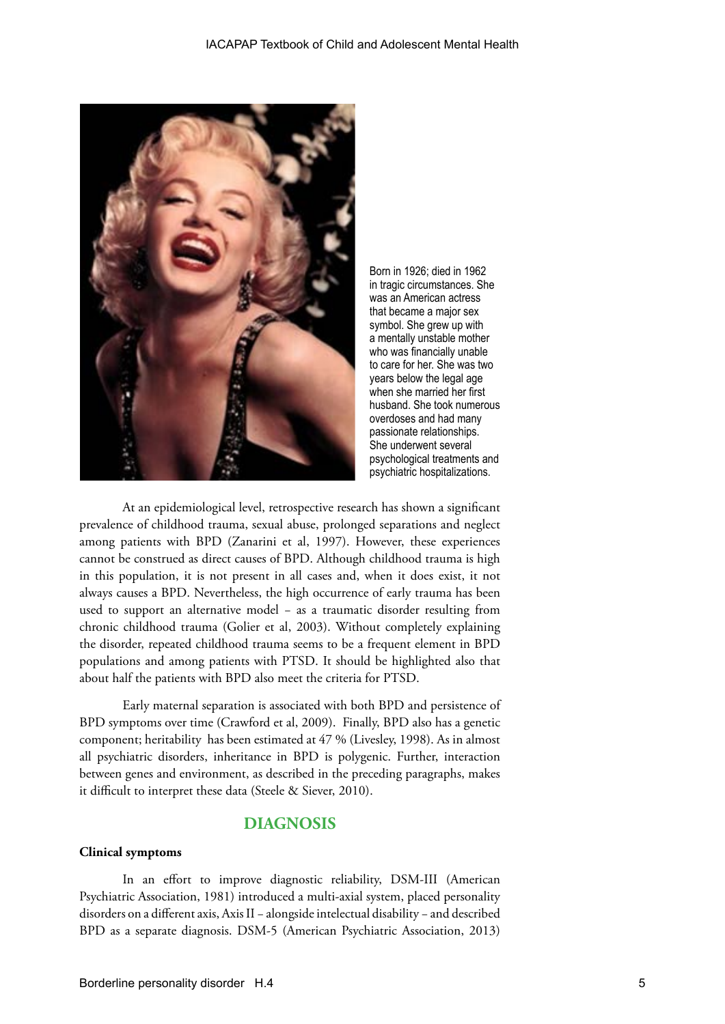

Born in 1926; died in 1962 in tragic circumstances. She was an American actress that became a major sex symbol. She grew up with a mentally unstable mother who was financially unable to care for her. She was two years below the legal age when she married her first husband. She took numerous overdoses and had many passionate relationships. She underwent several psychological treatments and psychiatric hospitalizations.

At an epidemiological level, retrospective research has shown a significant prevalence of childhood trauma, sexual abuse, prolonged separations and neglect among patients with BPD (Zanarini et al, 1997). However, these experiences cannot be construed as direct causes of BPD. Although childhood trauma is high in this population, it is not present in all cases and, when it does exist, it not always causes a BPD. Nevertheless, the high occurrence of early trauma has been used to support an alternative model − as a traumatic disorder resulting from chronic childhood trauma (Golier et al, 2003). Without completely explaining the disorder, repeated childhood trauma seems to be a frequent element in BPD populations and among patients with PTSD. It should be highlighted also that about half the patients with BPD also meet the criteria for PTSD.

Early maternal separation is associated with both BPD and persistence of BPD symptoms over time (Crawford et al, 2009). Finally, BPD also has a genetic component; heritability has been estimated at 47 % (Livesley, 1998). As in almost all psychiatric disorders, inheritance in BPD is polygenic. Further, interaction between genes and environment, as described in the preceding paragraphs, makes it difficult to interpret these data (Steele & Siever, 2010).

# **DIAGNOSIS**

#### **Clinical symptoms**

In an effort to improve diagnostic reliability, DSM-III (American Psychiatric Association, 1981) introduced a multi-axial system, placed personality disorders on a different axis, Axis II − alongside intelectual disability − and described BPD as a separate diagnosis. DSM-5 (American Psychiatric Association, 2013)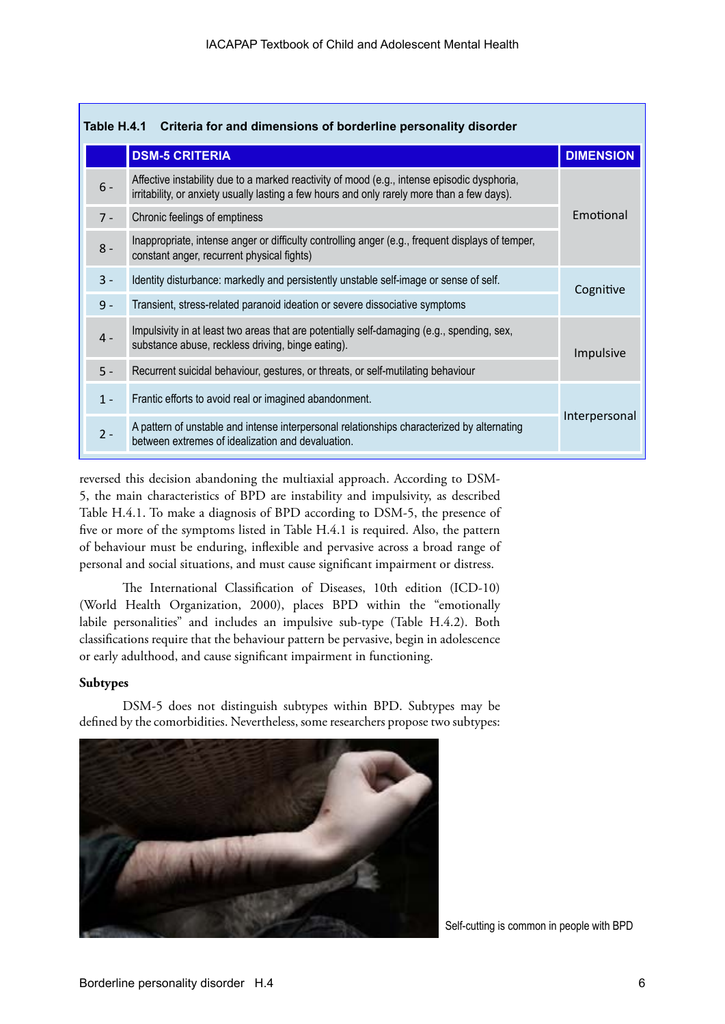| Table H.4.1<br>Criteria for and dimensions of borderline personality disorder |       |                                                                                                                                                                                            |                  |  |  |
|-------------------------------------------------------------------------------|-------|--------------------------------------------------------------------------------------------------------------------------------------------------------------------------------------------|------------------|--|--|
|                                                                               |       | <b>DSM-5 CRITERIA</b>                                                                                                                                                                      | <b>DIMENSION</b> |  |  |
|                                                                               | $6 -$ | Affective instability due to a marked reactivity of mood (e.g., intense episodic dysphoria,<br>irritability, or anxiety usually lasting a few hours and only rarely more than a few days). |                  |  |  |
|                                                                               | $7 -$ | Chronic feelings of emptiness                                                                                                                                                              | Emotional        |  |  |
|                                                                               | $8 -$ | Inappropriate, intense anger or difficulty controlling anger (e.g., frequent displays of temper,<br>constant anger, recurrent physical fights)                                             |                  |  |  |
|                                                                               | $3 -$ | Identity disturbance: markedly and persistently unstable self-image or sense of self.                                                                                                      | Cognitive        |  |  |
|                                                                               | $9 -$ | Transient, stress-related paranoid ideation or severe dissociative symptoms                                                                                                                |                  |  |  |
|                                                                               | $4 -$ | Impulsivity in at least two areas that are potentially self-damaging (e.g., spending, sex,<br>substance abuse, reckless driving, binge eating).                                            | Impulsive        |  |  |
|                                                                               | $5 -$ | Recurrent suicidal behaviour, gestures, or threats, or self-mutilating behaviour                                                                                                           |                  |  |  |
|                                                                               | $1 -$ | Frantic efforts to avoid real or imagined abandonment.                                                                                                                                     |                  |  |  |
|                                                                               | $2 -$ | A pattern of unstable and intense interpersonal relationships characterized by alternating<br>between extremes of idealization and devaluation.                                            | Interpersonal    |  |  |

reversed this decision abandoning the multiaxial approach. According to DSM-5, the main characteristics of BPD are instability and impulsivity, as described Table H.4.1. To make a diagnosis of BPD according to DSM-5, the presence of five or more of the symptoms listed in Table H.4.1 is required. Also, the pattern of behaviour must be enduring, inflexible and pervasive across a broad range of personal and social situations, and must cause significant impairment or distress.

The International Classification of Diseases, 10th edition (ICD-10) (World Health Organization, 2000), places BPD within the "emotionally labile personalities" and includes an impulsive sub-type (Table H.4.2). Both classifications require that the behaviour pattern be pervasive, begin in adolescence or early adulthood, and cause significant impairment in functioning.

#### **Subtypes**

DSM-5 does not distinguish subtypes within BPD. Subtypes may be defined by the comorbidities. Nevertheless, some researchers propose two subtypes:



Self-cutting is common in people with BPD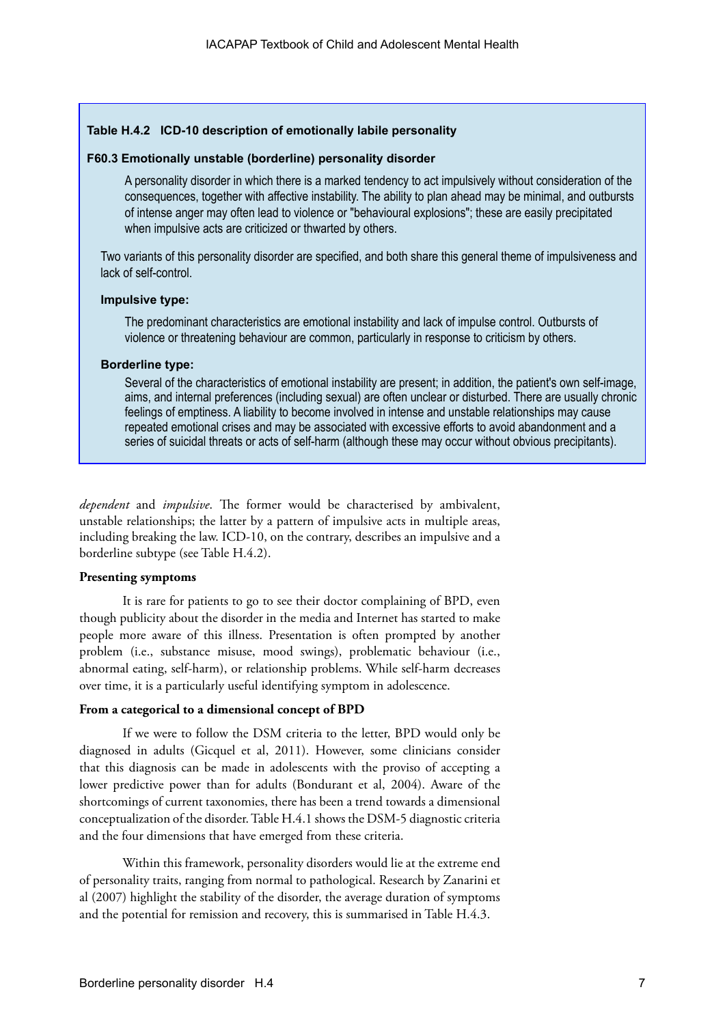### **Table H.4.2 ICD-10 description of emotionally labile personality**

#### **F60.3 Emotionally unstable (borderline) personality disorder**

A personality disorder in which there is a marked tendency to act impulsively without consideration of the consequences, together with affective instability. The ability to plan ahead may be minimal, and outbursts of intense anger may often lead to violence or "behavioural explosions"; these are easily precipitated when impulsive acts are criticized or thwarted by others.

Two variants of this personality disorder are specified, and both share this general theme of impulsiveness and lack of self-control.

#### **Impulsive type:**

The predominant characteristics are emotional instability and lack of impulse control. Outbursts of violence or threatening behaviour are common, particularly in response to criticism by others.

#### **Borderline type:**

Several of the characteristics of emotional instability are present; in addition, the patient's own self-image, aims, and internal preferences (including sexual) are often unclear or disturbed. There are usually chronic feelings of emptiness. A liability to become involved in intense and unstable relationships may cause repeated emotional crises and may be associated with excessive efforts to avoid abandonment and a series of suicidal threats or acts of self-harm (although these may occur without obvious precipitants).

*dependent* and *impulsive*. The former would be characterised by ambivalent, unstable relationships; the latter by a pattern of impulsive acts in multiple areas, including breaking the law. ICD-10, on the contrary, describes an impulsive and a borderline subtype (see Table H.4.2).

#### **Presenting symptoms**

It is rare for patients to go to see their doctor complaining of BPD, even though publicity about the disorder in the media and Internet has started to make people more aware of this illness. Presentation is often prompted by another problem (i.e., substance misuse, mood swings), problematic behaviour (i.e., abnormal eating, self-harm), or relationship problems. While self-harm decreases over time, it is a particularly useful identifying symptom in adolescence.

#### **From a categorical to a dimensional concept of BPD**

If we were to follow the DSM criteria to the letter, BPD would only be diagnosed in adults (Gicquel et al, 2011). However, some clinicians consider that this diagnosis can be made in adolescents with the proviso of accepting a lower predictive power than for adults (Bondurant et al, 2004). Aware of the shortcomings of current taxonomies, there has been a trend towards a dimensional conceptualization of the disorder. Table H.4.1 shows the DSM-5 diagnostic criteria and the four dimensions that have emerged from these criteria.

Within this framework, personality disorders would lie at the extreme end of personality traits, ranging from normal to pathological. Research by Zanarini et al (2007) highlight the stability of the disorder, the average duration of symptoms and the potential for remission and recovery, this is summarised in Table H.4.3.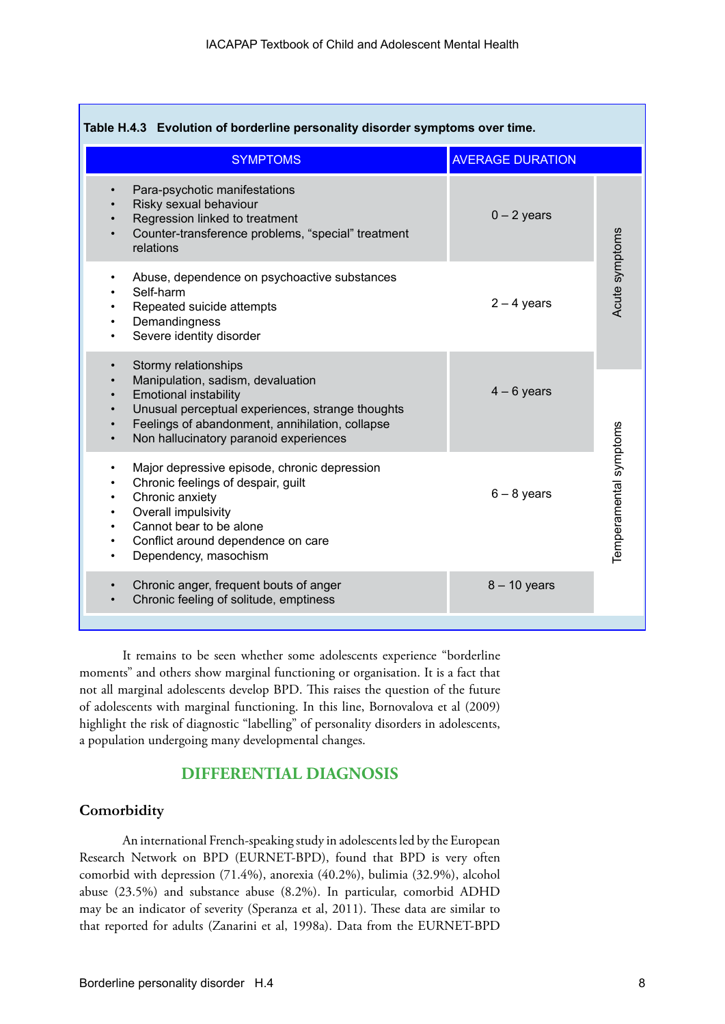| Table H.4.3 Evolution of borderline personality disorder symptoms over time.                                                                                                                                                                                         |                         |                        |  |  |  |
|----------------------------------------------------------------------------------------------------------------------------------------------------------------------------------------------------------------------------------------------------------------------|-------------------------|------------------------|--|--|--|
| <b>SYMPTOMS</b>                                                                                                                                                                                                                                                      | <b>AVERAGE DURATION</b> |                        |  |  |  |
| Para-psychotic manifestations<br>Risky sexual behaviour<br>Regression linked to treatment<br>Counter-transference problems, "special" treatment<br>relations                                                                                                         | $0 - 2$ years           |                        |  |  |  |
| Abuse, dependence on psychoactive substances<br>Self-harm<br>Repeated suicide attempts<br>Demandingness<br>Severe identity disorder                                                                                                                                  | $2 - 4$ years           | Acute symptoms         |  |  |  |
| Stormy relationships<br>$\bullet$<br>Manipulation, sadism, devaluation<br><b>Emotional instability</b><br>$\bullet$<br>Unusual perceptual experiences, strange thoughts<br>Feelings of abandonment, annihilation, collapse<br>Non hallucinatory paranoid experiences | $4 - 6$ years           |                        |  |  |  |
| Major depressive episode, chronic depression<br>Chronic feelings of despair, guilt<br>Chronic anxiety<br>$\bullet$<br>Overall impulsivity<br>٠<br>Cannot bear to be alone<br>$\bullet$<br>Conflict around dependence on care<br>Dependency, masochism                | $6 - 8$ years           | Temperamental symptoms |  |  |  |
| Chronic anger, frequent bouts of anger<br>$\bullet$<br>Chronic feeling of solitude, emptiness                                                                                                                                                                        | $8 - 10$ years          |                        |  |  |  |

It remains to be seen whether some adolescents experience "borderline moments" and others show marginal functioning or organisation. It is a fact that not all marginal adolescents develop BPD. This raises the question of the future of adolescents with marginal functioning. In this line, Bornovalova et al (2009) highlight the risk of diagnostic "labelling" of personality disorders in adolescents, a population undergoing many developmental changes.

# **DIFFERENTIAL DIAGNOSIS**

# **Comorbidity**

An international French-speaking study in adolescents led by the European Research Network on BPD (EURNET-BPD), found that BPD is very often comorbid with depression (71.4%), anorexia (40.2%), bulimia (32.9%), alcohol abuse (23.5%) and substance abuse (8.2%). In particular, comorbid ADHD may be an indicator of severity (Speranza et al, 2011). These data are similar to that reported for adults (Zanarini et al, 1998a). Data from the EURNET-BPD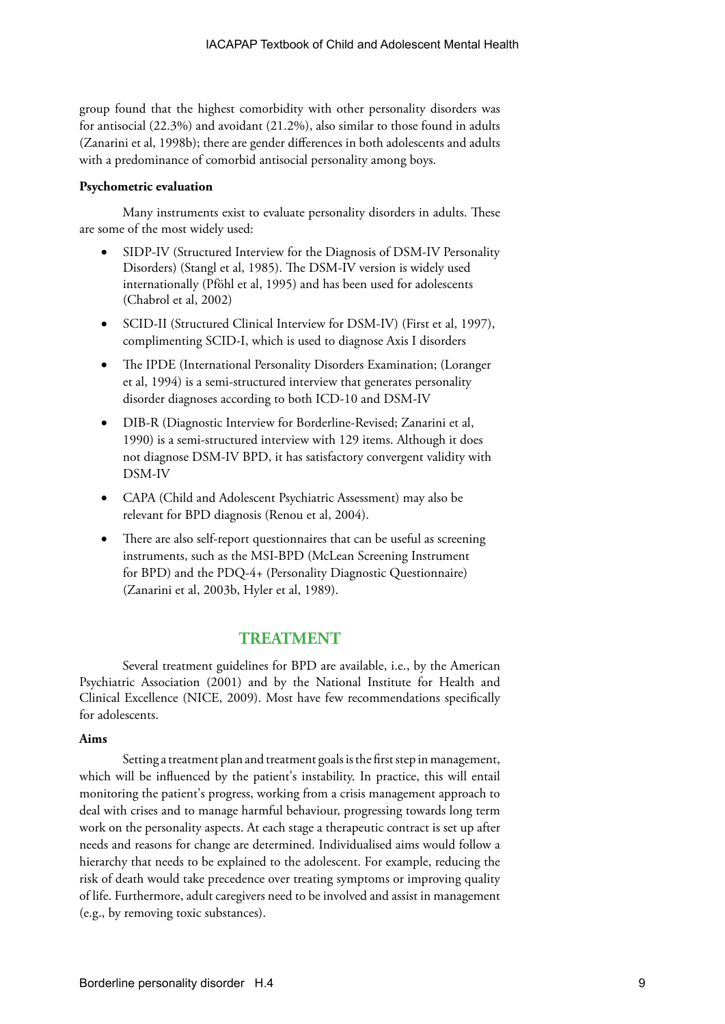group found that the highest comorbidity with other personality disorders was for antisocial (22.3%) and avoidant (21.2%), also similar to those found in adults (Zanarini et al, 1998b); there are gender differences in both adolescents and adults with a predominance of comorbid antisocial personality among boys.

#### **Psychometric evaluation**

Many instruments exist to evaluate personality disorders in adults. These are some of the most widely used:

- SIDP-IV (Structured Interview for the Diagnosis of DSM-IV Personality Disorders) (Stangl et al, 1985). The DSM-IV version is widely used internationally (Pföhl et al, 1995) and has been used for adolescents (Chabrol et al, 2002)
- SCID-II (Structured Clinical Interview for DSM-IV) (First et al, 1997), complimenting SCID-I, which is used to diagnose Axis I disorders
- The IPDE (International Personality Disorders Examination; (Loranger et al, 1994) is a semi-structured interview that generates personality disorder diagnoses according to both ICD-10 and DSM-IV
- DIB-R (Diagnostic Interview for Borderline-Revised; Zanarini et al, 1990) is a semi-structured interview with 129 items. Although it does not diagnose DSM-IV BPD, it has satisfactory convergent validity with DSM-IV
- • CAPA (Child and Adolescent Psychiatric Assessment) may also be relevant for BPD diagnosis (Renou et al, 2004).
- There are also self-report questionnaires that can be useful as screening instruments, such as the MSI-BPD (McLean Screening Instrument for BPD) and the PDQ-4+ (Personality Diagnostic Questionnaire) (Zanarini et al, 2003b, Hyler et al, 1989).

# **TREATMENT**

Several treatment guidelines for BPD are available, i.e., by the American Psychiatric Association (2001) and by the National Institute for Health and Clinical Excellence (NICE, 2009). Most have few recommendations specifically for adolescents.

#### **Aims**

Setting a treatment plan and treatment goals is the first step in management, which will be influenced by the patient's instability. In practice, this will entail monitoring the patient's progress, working from a crisis management approach to deal with crises and to manage harmful behaviour, progressing towards long term work on the personality aspects. At each stage a therapeutic contract is set up after needs and reasons for change are determined. Individualised aims would follow a hierarchy that needs to be explained to the adolescent. For example, reducing the risk of death would take precedence over treating symptoms or improving quality of life. Furthermore, adult caregivers need to be involved and assist in management (e.g., by removing toxic substances).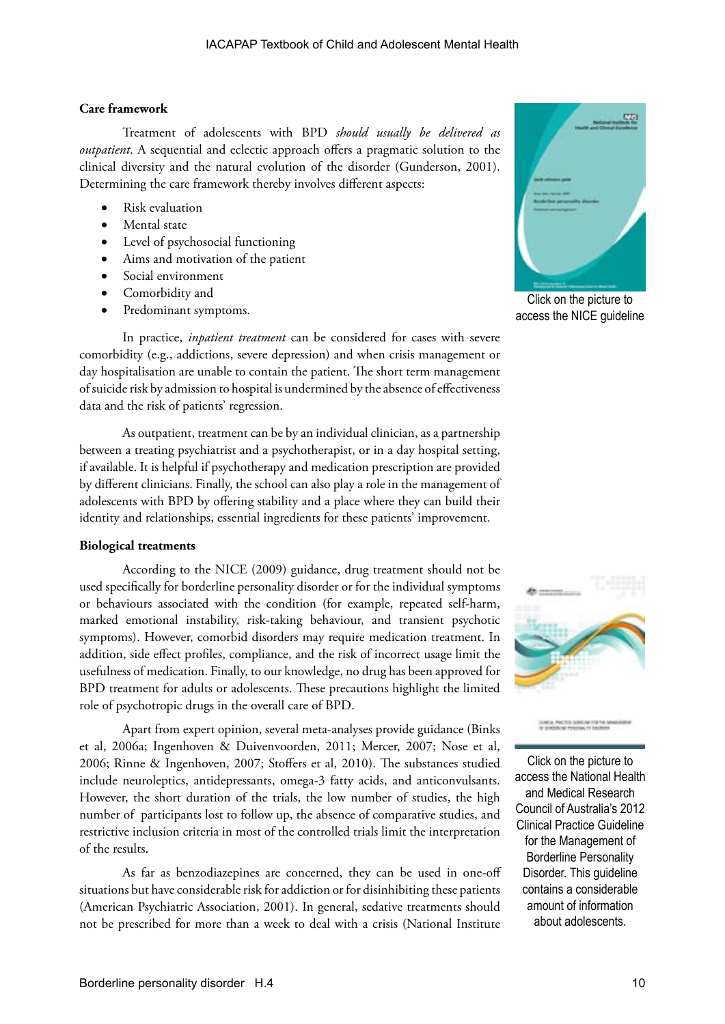#### **Care framework**

Treatment of adolescents with BPD *should usually be delivered as outpatient*. A sequential and eclectic approach offers a pragmatic solution to the clinical diversity and the natural evolution of the disorder (Gunderson, 2001). Determining the care framework thereby involves different aspects:

- **Risk evaluation**
- Mental state
- Level of psychosocial functioning
- Aims and motivation of the patient
- Social environment
- Comorbidity and
- Predominant symptoms.

In practice, *inpatient treatment* can be considered for cases with severe comorbidity (e.g., addictions, severe depression) and when crisis management or day hospitalisation are unable to contain the patient. The short term management of suicide risk by admission to hospital is undermined by the absence of effectiveness data and the risk of patients' regression.

As outpatient, treatment can be by an individual clinician, as a partnership between a treating psychiatrist and a psychotherapist, or in a day hospital setting, if available. It is helpful if psychotherapy and medication prescription are provided by different clinicians. Finally, the school can also play a role in the management of adolescents with BPD by offering stability and a place where they can build their identity and relationships, essential ingredients for these patients' improvement.

#### **Biological treatments**

According to the NICE (2009) guidance, drug treatment should not be used specifically for borderline personality disorder or for the individual symptoms or behaviours associated with the condition (for example, repeated self-harm, marked emotional instability, risk-taking behaviour, and transient psychotic symptoms). However, comorbid disorders may require medication treatment. In addition, side effect profiles, compliance, and the risk of incorrect usage limit the usefulness of medication. Finally, to our knowledge, no drug has been approved for BPD treatment for adults or adolescents. These precautions highlight the limited role of psychotropic drugs in the overall care of BPD.

Apart from expert opinion, several meta-analyses provide guidance (Binks et al, 2006a; Ingenhoven & Duivenvoorden, 2011; Mercer, 2007; Nose et al, 2006; Rinne & Ingenhoven, 2007; Stoffers et al, 2010). The substances studied include neuroleptics, antidepressants, omega-3 fatty acids, and anticonvulsants. However, the short duration of the trials, the low number of studies, the high number of participants lost to follow up, the absence of comparative studies, and restrictive inclusion criteria in most of the controlled trials limit the interpretation of the results.

As far as benzodiazepines are concerned, they can be used in one-off situations but have considerable risk for addiction or for disinhibiting these patients (American Psychiatric Association, 2001). In general, sedative treatments should not be prescribed for more than a week to deal with a crisis (National Institute



Click on the picture to access the NICE guideline



Click on the picture to access the National Health and Medical Research Council of Australia's 2012 Clinical Practice Guideline for the Management of Borderline Personality Disorder. This guideline contains a considerable amount of information about adolescents.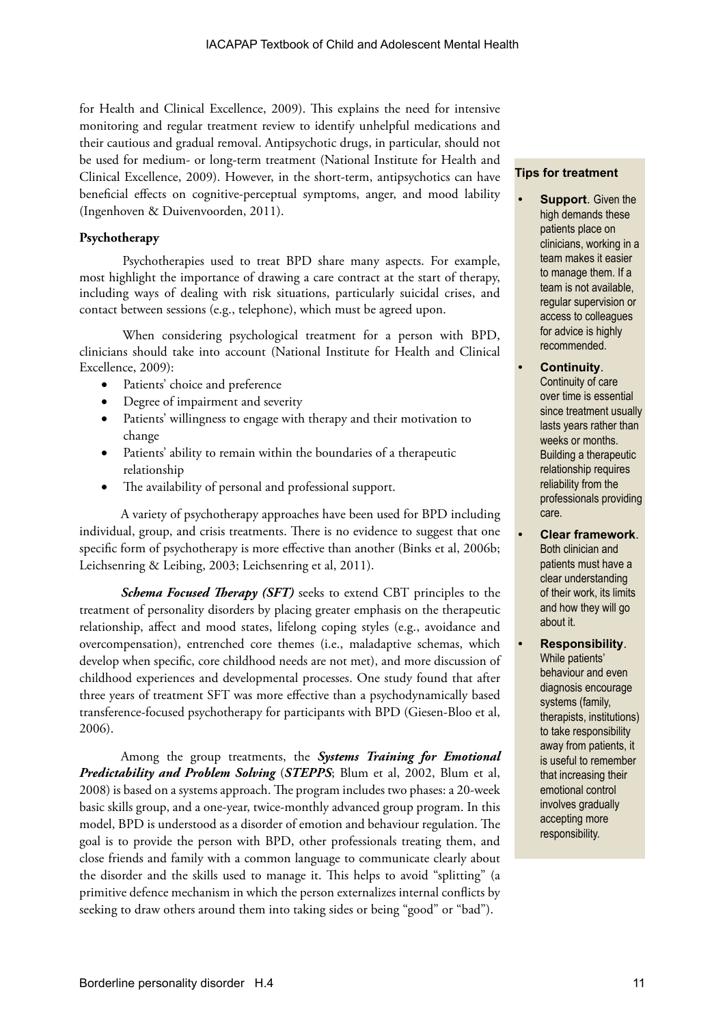for Health and Clinical Excellence, 2009). This explains the need for intensive monitoring and regular treatment review to identify unhelpful medications and their cautious and gradual removal. Antipsychotic drugs, in particular, should not be used for medium- or long-term treatment (National Institute for Health and Clinical Excellence, 2009). However, in the short-term, antipsychotics can have beneficial effects on cognitive-perceptual symptoms, anger, and mood lability (Ingenhoven & Duivenvoorden, 2011).

### **Psychotherapy**

Psychotherapies used to treat BPD share many aspects. For example, most highlight the importance of drawing a care contract at the start of therapy, including ways of dealing with risk situations, particularly suicidal crises, and contact between sessions (e.g., telephone), which must be agreed upon.

When considering psychological treatment for a person with BPD, clinicians should take into account (National Institute for Health and Clinical Excellence, 2009):

- Patients' choice and preference
- Degree of impairment and severity
- • Patients' willingness to engage with therapy and their motivation to change
- Patients' ability to remain within the boundaries of a therapeutic relationship
- The availability of personal and professional support.

A variety of psychotherapy approaches have been used for BPD including individual, group, and crisis treatments. There is no evidence to suggest that one specific form of psychotherapy is more effective than another (Binks et al, 2006b; Leichsenring & Leibing, 2003; Leichsenring et al, 2011).

*Schema Focused Therapy (SFT)* seeks to extend CBT principles to the treatment of personality disorders by placing greater emphasis on the therapeutic relationship, affect and mood states, lifelong coping styles (e.g., avoidance and overcompensation), entrenched core themes (i.e., maladaptive schemas, which develop when specific, core childhood needs are not met), and more discussion of childhood experiences and developmental processes. One study found that after three years of treatment SFT was more effective than a psychodynamically based transference-focused psychotherapy for participants with BPD (Giesen-Bloo et al, 2006).

Among the group treatments, the *Systems Training for Emotional Predictability and Problem Solving* (*STEPPS*; Blum et al, 2002, Blum et al, 2008) is based on a systems approach. The program includes two phases: a 20-week basic skills group, and a one-year, twice-monthly advanced group program. In this model, BPD is understood as a disorder of emotion and behaviour regulation. The goal is to provide the person with BPD, other professionals treating them, and close friends and family with a common language to communicate clearly about the disorder and the skills used to manage it. This helps to avoid "splitting" (a primitive defence mechanism in which the person externalizes internal conflicts by seeking to draw others around them into taking sides or being "good" or "bad").

#### **Tips for treatment**

- **• Support**. Given the high demands these patients place on clinicians, working in a team makes it easier to manage them. If a team is not available, regular supervision or access to colleagues for advice is highly recommended.
- **• Continuity**. Continuity of care over time is essential since treatment usually lasts years rather than weeks or months. Building a therapeutic relationship requires reliability from the professionals providing care.
- **• Clear framework**. Both clinician and patients must have a clear understanding of their work, its limits and how they will go about it.
- **• Responsibility**. While patients' behaviour and even diagnosis encourage systems (family, therapists, institutions) to take responsibility away from patients, it is useful to remember that increasing their emotional control involves gradually accepting more responsibility.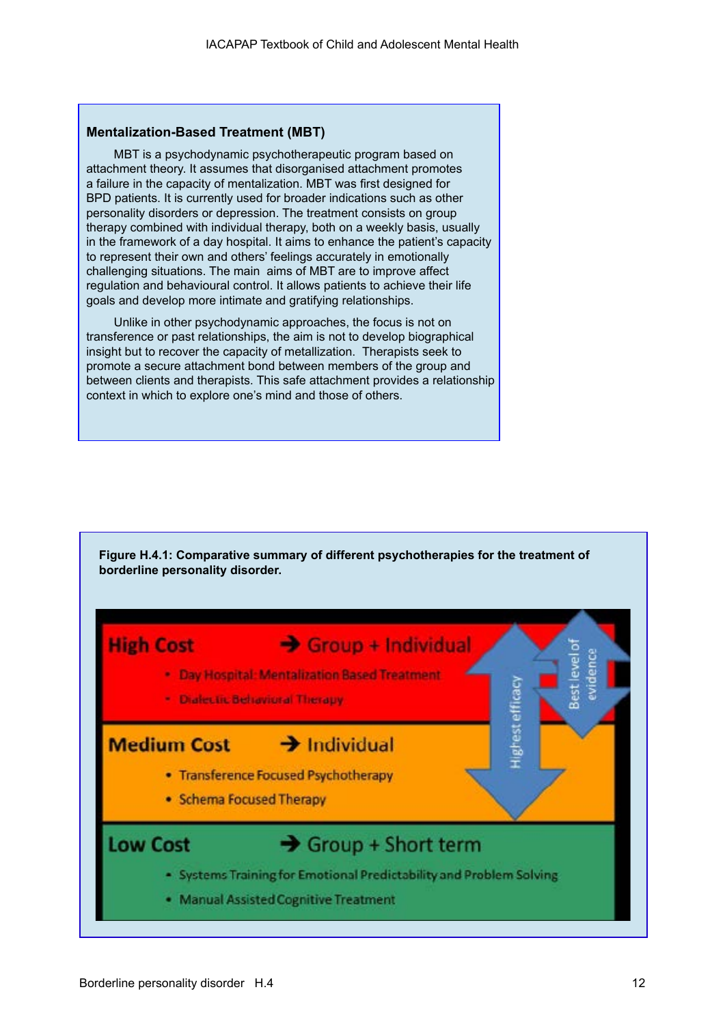#### **Mentalization-Based Treatment (MBT)**

MBT is a psychodynamic psychotherapeutic program based on attachment theory. It assumes that disorganised attachment promotes a failure in the capacity of mentalization. MBT was first designed for BPD patients. It is currently used for broader indications such as other personality disorders or depression. The treatment consists on group therapy combined with individual therapy, both on a weekly basis, usually in the framework of a day hospital. It aims to enhance the patient's capacity to represent their own and others' feelings accurately in emotionally challenging situations. The main aims of MBT are to improve affect regulation and behavioural control. It allows patients to achieve their life goals and develop more intimate and gratifying relationships.

Unlike in other psychodynamic approaches, the focus is not on transference or past relationships, the aim is not to develop biographical insight but to recover the capacity of metallization. Therapists seek to promote a secure attachment bond between members of the group and between clients and therapists. This safe attachment provides a relationship context in which to explore one's mind and those of others.

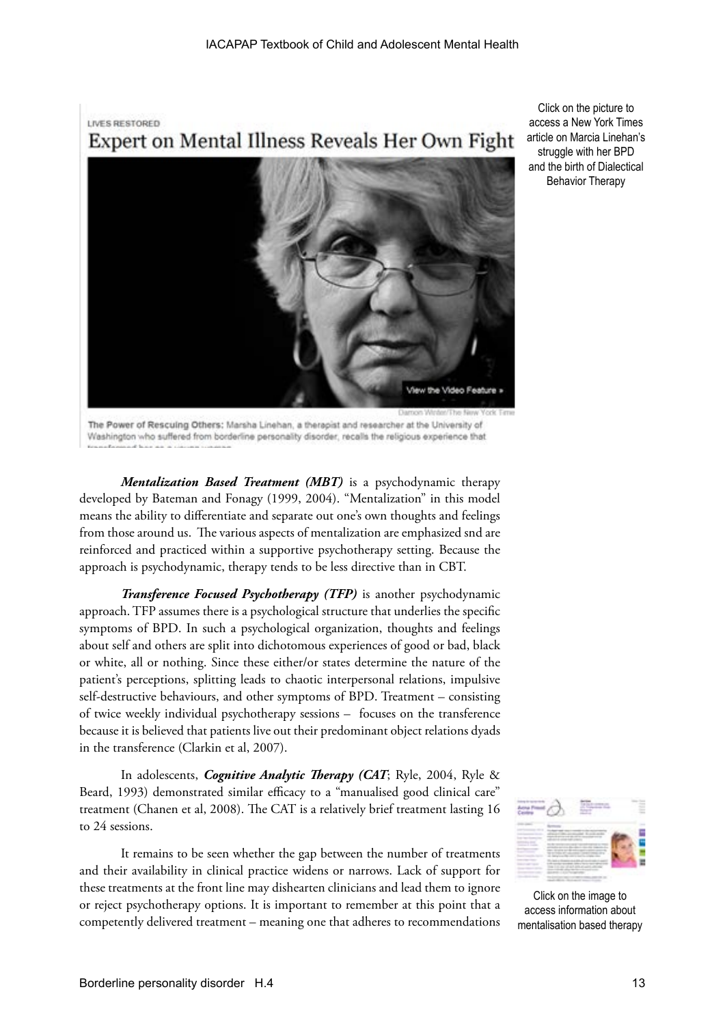**LIVES RESTORED** 

Expert on Mental Illness Reveals Her Own Fight



The Power of Rescuing Others: Marsha Linehan, a therapist and researcher at the University of Washington who suffered from borderline personality disorder, recalls the religious experience that

*Mentalization Based Treatment (MBT)* is a psychodynamic therapy developed by Bateman and Fonagy (1999, 2004). "Mentalization" in this model means the ability to differentiate and separate out one's own thoughts and feelings from those around us. The various aspects of mentalization are emphasized snd are reinforced and practiced within a supportive psychotherapy setting. Because the approach is psychodynamic, therapy tends to be less directive than in CBT.

*Transference Focused Psychotherapy (TFP)* is another psychodynamic approach. TFP assumes there is a psychological structure that underlies the specific symptoms of BPD. In such a psychological organization, thoughts and feelings about self and others are split into dichotomous experiences of good or bad, black or white, all or nothing. Since these either/or states determine the nature of the patient's perceptions, splitting leads to chaotic interpersonal relations, impulsive self-destructive behaviours, and other symptoms of BPD. Treatment – consisting of twice weekly individual psychotherapy sessions – focuses on the transference because it is believed that patients live out their predominant object relations dyads in the transference (Clarkin et al, 2007).

In adolescents, *Cognitive Analytic Therapy (CAT*; Ryle, 2004, Ryle & Beard, 1993) demonstrated similar efficacy to a "manualised good clinical care" treatment (Chanen et al, 2008). The CAT is a relatively brief treatment lasting 16 to 24 sessions.

It remains to be seen whether the gap between the number of treatments and their availability in clinical practice widens or narrows. Lack of support for these treatments at the front line may dishearten clinicians and lead them to ignore or reject psychotherapy options. It is important to remember at this point that a competently delivered treatment – meaning one that adheres to recommendations



Click on the image to access information about mentalisation based therapy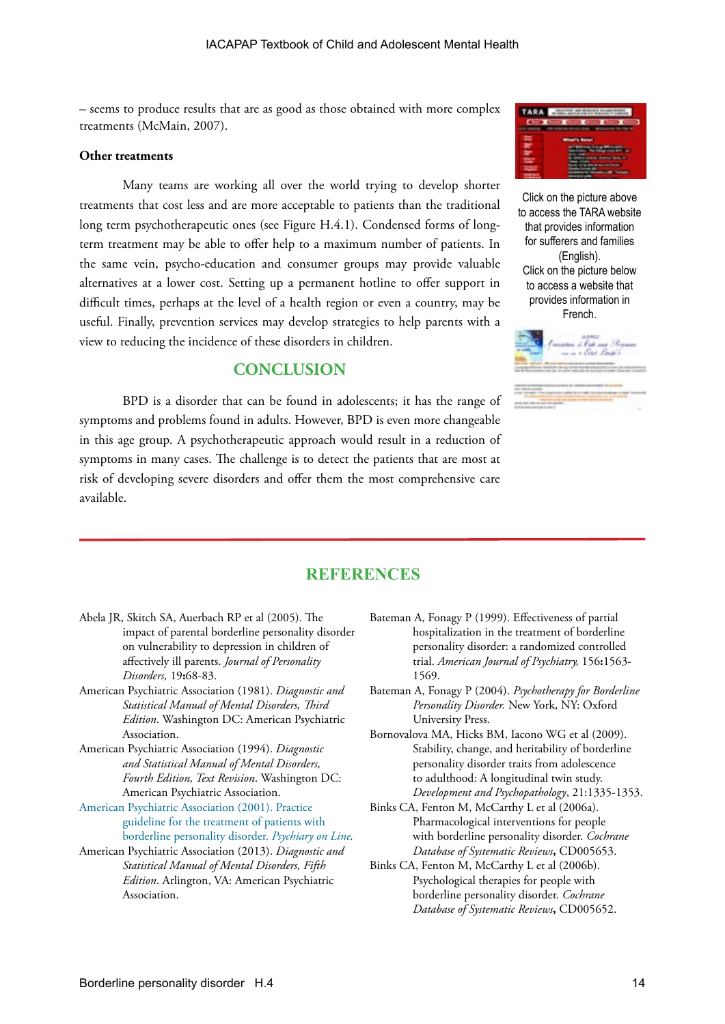– seems to produce results that are as good as those obtained with more complex treatments (McMain, 2007).

#### **Other treatments**

Many teams are working all over the world trying to develop shorter treatments that cost less and are more acceptable to patients than the traditional long term psychotherapeutic ones (see Figure H.4.1). Condensed forms of longterm treatment may be able to offer help to a maximum number of patients. In the same vein, psycho-education and consumer groups may provide valuable alternatives at a lower cost. Setting up a permanent hotline to offer support in difficult times, perhaps at the level of a health region or even a country, may be useful. Finally, prevention services may develop strategies to help parents with a view to reducing the incidence of these disorders in children.

# **CONCLUSION**

BPD is a disorder that can be found in adolescents; it has the range of symptoms and problems found in adults. However, BPD is even more changeable in this age group. A psychotherapeutic approach would result in a reduction of symptoms in many cases. The challenge is to detect the patients that are most at risk of developing severe disorders and offer them the most comprehensive care available.



Click on the picture above to access the TARA website that provides information for sufferers and families (English). Click on the picture below to access a website that provides information in French.



# **REFERENCES**

- Abela JR, Skitch SA, Auerbach RP et al (2005). The impact of parental borderline personality disorder on vulnerability to depression in children of affectively ill parents. *Journal of Personality Disorders,* 19**:**68-83.
- American Psychiatric Association (1981). *Diagnostic and Statistical Manual of Mental Disorders, Third Edition*. Washington DC: American Psychiatric Association.
- American Psychiatric Association (1994). *Diagnostic and Statistical Manual of Mental Disorders, Fourth Edition, Text Revision*. Washington DC: American Psychiatric Association.
- [American Psychiatric Association \(2001\). Practice](http://psychiatryonline.org/content.aspx?bookid=28§ionid=1672600#54853)  [guideline for the treatment of patients with](http://psychiatryonline.org/content.aspx?bookid=28§ionid=1672600#54853)  [borderline personality disorder.](http://psychiatryonline.org/content.aspx?bookid=28§ionid=1672600#54853) *Psychiary on Line.*
- American Psychiatric Association (2013). *Diagnostic and Statistical Manual of Mental Disorders, Fifth Edition*. Arlington, VA: American Psychiatric Association.
- Bateman A, Fonagy P (1999). Effectiveness of partial hospitalization in the treatment of borderline personality disorder: a randomized controlled trial. *American Journal of Psychiatry,* 156**:**1563- 1569.
- Bateman A, Fonagy P (2004). *Psychotherapy for Borderline Personality Disorder.* New York, NY: Oxford University Press.
- Bornovalova MA, Hicks BM, Iacono WG et al (2009). Stability, change, and heritability of borderline personality disorder traits from adolescence to adulthood: A longitudinal twin study. *Development and Psychopathology*, 21:1335-1353.
- Binks CA, Fenton M, McCarthy L et al (2006a). Pharmacological interventions for people with borderline personality disorder. *Cochrane Database of Systematic Reviews***,** CD005653.
- Binks CA, Fenton M, McCarthy L et al (2006b). Psychological therapies for people with borderline personality disorder. *Cochrane Database of Systematic Reviews***,** CD005652.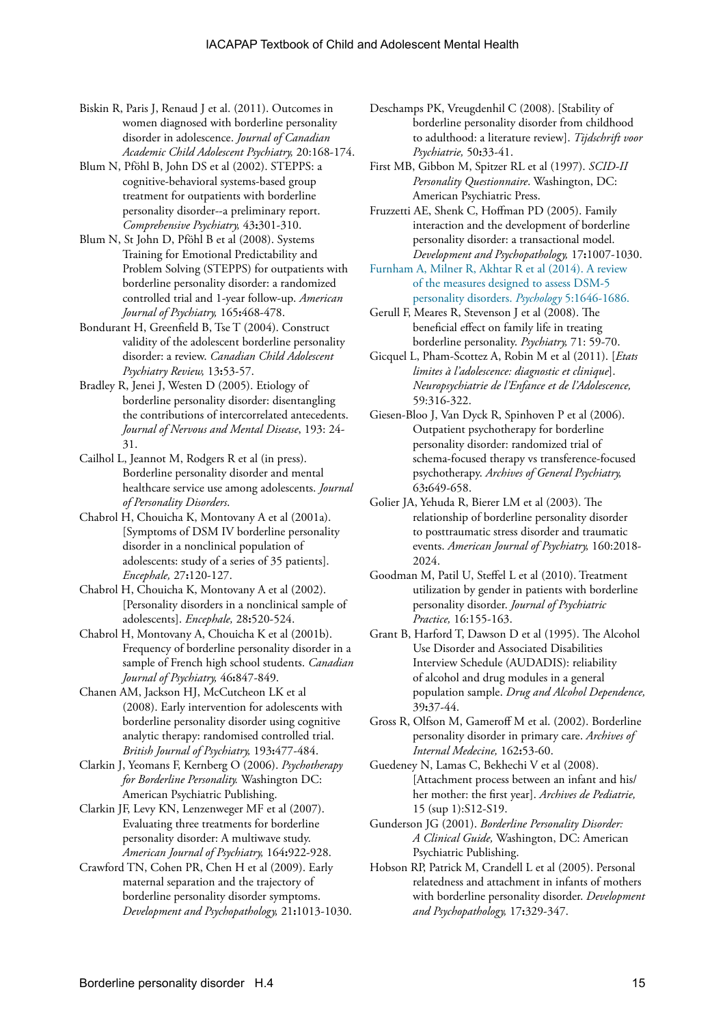- Biskin R, Paris J, Renaud J et al. (2011). Outcomes in women diagnosed with borderline personality disorder in adolescence. *Journal of Canadian Academic Child Adolescent Psychiatry,* 20:168-174.
- Blum N, Pföhl B, John DS et al (2002). STEPPS: a cognitive-behavioral systems-based group treatment for outpatients with borderline personality disorder--a preliminary report. *Comprehensive Psychiatry,* 43**:**301-310.
- Blum N, St John D, Pföhl B et al (2008). Systems Training for Emotional Predictability and Problem Solving (STEPPS) for outpatients with borderline personality disorder: a randomized controlled trial and 1-year follow-up. *American Journal of Psychiatry,* 165**:**468-478.
- Bondurant H, Greenfield B, Tse T (2004). Construct validity of the adolescent borderline personality disorder: a review. *Canadian Child Adolescent Psychiatry Review,* 13**:**53-57.
- Bradley R, Jenei J, Westen D (2005). Etiology of borderline personality disorder: disentangling the contributions of intercorrelated antecedents. *Journal of Nervous and Mental Disease*, 193: 24- 31.
- Cailhol L, Jeannot M, Rodgers R et al (in press). Borderline personality disorder and mental healthcare service use among adolescents. *Journal of Personality Disorders*.
- Chabrol H, Chouicha K, Montovany A et al (2001a). [Symptoms of DSM IV borderline personality disorder in a nonclinical population of adolescents: study of a series of 35 patients]. *Encephale,* 27**:**120-127.
- Chabrol H, Chouicha K, Montovany A et al (2002). [Personality disorders in a nonclinical sample of adolescents]. *Encephale,* 28**:**520-524.
- Chabrol H, Montovany A, Chouicha K et al (2001b). Frequency of borderline personality disorder in a sample of French high school students. *Canadian Journal of Psychiatry,* 46**:**847-849.
- Chanen AM, Jackson HJ, McCutcheon LK et al (2008). Early intervention for adolescents with borderline personality disorder using cognitive analytic therapy: randomised controlled trial. *British Journal of Psychiatry,* 193**:**477-484.
- Clarkin J, Yeomans F, Kernberg O (2006). *Psychotherapy for Borderline Personality.* Washington DC: American Psychiatric Publishing.
- Clarkin JF, Levy KN, Lenzenweger MF et al (2007). Evaluating three treatments for borderline personality disorder: A multiwave study. *American Journal of Psychiatry,* 164**:**922-928.
- Crawford TN, Cohen PR, Chen H et al (2009). Early maternal separation and the trajectory of borderline personality disorder symptoms. *Development and Psychopathology,* 21**:**1013-1030.
- Deschamps PK, Vreugdenhil C (2008). [Stability of borderline personality disorder from childhood to adulthood: a literature review]. *Tijdschrift voor Psychiatrie,* 50**:**33-41.
- First MB, Gibbon M, Spitzer RL et al (1997). *SCID-II Personality Questionnaire*. Washington, DC: American Psychiatric Press.
- Fruzzetti AE, Shenk C, Hoffman PD (2005). Family interaction and the development of borderline personality disorder: a transactional model. *Development and Psychopathology,* 17**:**1007-1030.
- [Furnham A, Milner R, Akhtar R et al \(2014\). A review](http://dx.doi.org/10.4236/psych.2014.514175)  [of the measures designed to assess DSM-5](http://dx.doi.org/10.4236/psych.2014.514175)  [personality disorders.](http://dx.doi.org/10.4236/psych.2014.514175) *Psychology* 5:1646-1686.
- Gerull F, Meares R, Stevenson J et al (2008). The beneficial effect on family life in treating borderline personality. *Psychiatry,* 71: 59-70.
- Gicquel L, Pham-Scottez A, Robin M et al (2011). [*Etats limites à l'adolescence: diagnostic et clinique*]. *Neuropsychiatrie de l'Enfance et de l'Adolescence,* 59:316-322.
- Giesen-Bloo J, Van Dyck R, Spinhoven P et al (2006). Outpatient psychotherapy for borderline personality disorder: randomized trial of schema-focused therapy vs transference-focused psychotherapy. *Archives of General Psychiatry,* 63**:**649-658.
- Golier JA, Yehuda R, Bierer LM et al (2003). The relationship of borderline personality disorder to posttraumatic stress disorder and traumatic events. *American Journal of Psychiatry,* 160:2018- 2024.
- Goodman M, Patil U, Steffel L et al (2010). Treatment utilization by gender in patients with borderline personality disorder. *Journal of Psychiatric Practice,* 16:155-163.
- Grant B, Harford T, Dawson D et al (1995). The Alcohol Use Disorder and Associated Disabilities Interview Schedule (AUDADIS): reliability of alcohol and drug modules in a general population sample. *Drug and Alcohol Dependence,* 39**:**37-44.
- Gross R, Olfson M, Gameroff M et al. (2002). Borderline personality disorder in primary care. *Archives of Internal Medecine,* 162**:**53-60.
- Guedeney N, Lamas C, Bekhechi V et al (2008). [Attachment process between an infant and his/ her mother: the first year]. *Archives de Pediatrie,* 15 (sup 1):S12-S19.
- Gunderson JG (2001). *Borderline Personality Disorder: A Clinical Guide,* Washington, DC: American Psychiatric Publishing.
- Hobson RP, Patrick M, Crandell L et al (2005). Personal relatedness and attachment in infants of mothers with borderline personality disorder. *Development and Psychopathology,* 17**:**329-347.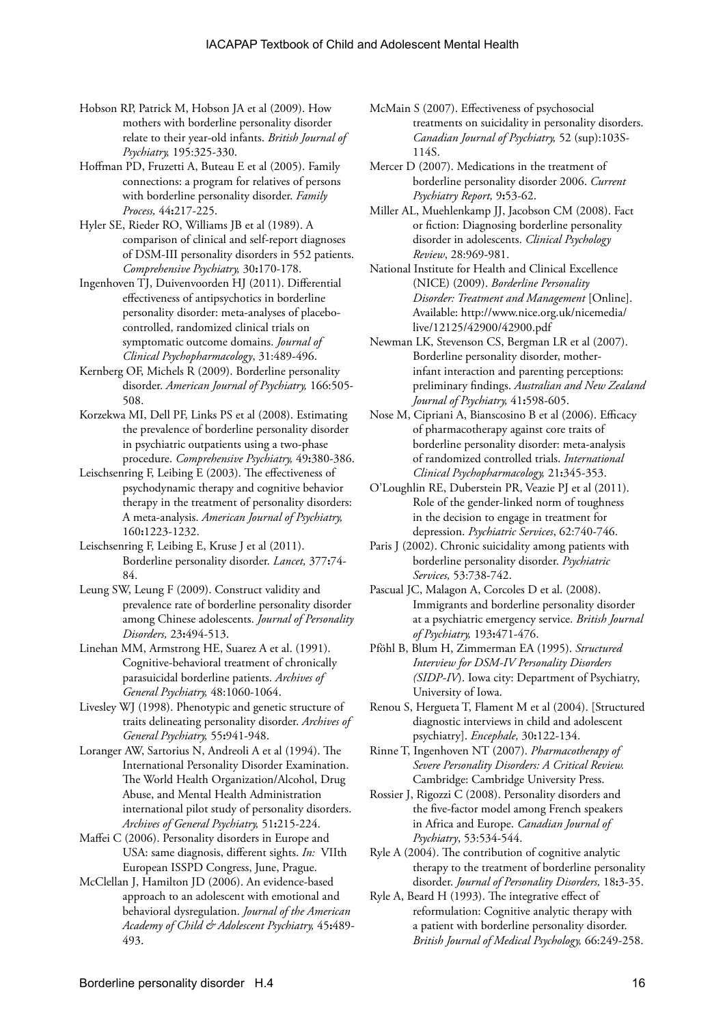- Hobson RP, Patrick M, Hobson JA et al (2009). How mothers with borderline personality disorder relate to their year-old infants. *British Journal of Psychiatry,* 195:325-330.
- Hoffman PD, Fruzetti A, Buteau E et al (2005). Family connections: a program for relatives of persons with borderline personality disorder. *Family Process,* 44**:**217-225.
- Hyler SE, Rieder RO, Williams JB et al (1989). A comparison of clinical and self-report diagnoses of DSM-III personality disorders in 552 patients. *Comprehensive Psychiatry,* 30**:**170-178.
- Ingenhoven TJ, Duivenvoorden HJ (2011). Differential effectiveness of antipsychotics in borderline personality disorder: meta-analyses of placebocontrolled, randomized clinical trials on symptomatic outcome domains. *Journal of Clinical Psychopharmacology*, 31:489-496.
- Kernberg OF, Michels R (2009). Borderline personality disorder. *American Journal of Psychiatry,* 166:505- 508.
- Korzekwa MI, Dell PF, Links PS et al (2008). Estimating the prevalence of borderline personality disorder in psychiatric outpatients using a two-phase procedure. *Comprehensive Psychiatry,* 49**:**380-386.
- Leischsenring F, Leibing E (2003). The effectiveness of psychodynamic therapy and cognitive behavior therapy in the treatment of personality disorders: A meta-analysis. *American Journal of Psychiatry,* 160**:**1223-1232.
- Leischsenring F, Leibing E, Kruse J et al (2011). Borderline personality disorder. *Lancet,* 377**:**74- 84.
- Leung SW, Leung F (2009). Construct validity and prevalence rate of borderline personality disorder among Chinese adolescents. *Journal of Personality Disorders,* 23**:**494-513.
- Linehan MM, Armstrong HE, Suarez A et al. (1991). Cognitive-behavioral treatment of chronically parasuicidal borderline patients. *Archives of General Psychiatry,* 48:1060-1064.
- Livesley WJ (1998). Phenotypic and genetic structure of traits delineating personality disorder. *Archives of General Psychiatry,* 55**:**941-948.
- Loranger AW, Sartorius N, Andreoli A et al (1994). The International Personality Disorder Examination. The World Health Organization/Alcohol, Drug Abuse, and Mental Health Administration international pilot study of personality disorders. *Archives of General Psychiatry,* 51**:**215-224.
- Maffei C (2006). Personality disorders in Europe and USA: same diagnosis, different sights. *In:* VIIth European ISSPD Congress, June, Prague.
- McClellan J, Hamilton JD (2006). An evidence-based approach to an adolescent with emotional and behavioral dysregulation. *Journal of the American Academy of Child & Adolescent Psychiatry,* 45**:**489- 493.
- McMain S (2007). Effectiveness of psychosocial treatments on suicidality in personality disorders. *Canadian Journal of Psychiatry,* 52 (sup):103S-114S.
- Mercer D (2007). Medications in the treatment of borderline personality disorder 2006. *Current Psychiatry Report,* 9**:**53-62.
- Miller AL, Muehlenkamp JJ, Jacobson CM (2008). Fact or fiction: Diagnosing borderline personality disorder in adolescents. *Clinical Psychology Review*, 28:969-981.
- National Institute for Health and Clinical Excellence (NICE) (2009). *Borderline Personality Disorder: Treatment and Management* [Online]. Available: http://www.nice.org.uk/nicemedia/ live/12125/42900/42900.pdf
- Newman LK, Stevenson CS, Bergman LR et al (2007). Borderline personality disorder, motherinfant interaction and parenting perceptions: preliminary findings. *Australian and New Zealand Journal of Psychiatry,* 41**:**598-605.
- Nose M, Cipriani A, Bianscosino B et al (2006). Efficacy of pharmacotherapy against core traits of borderline personality disorder: meta-analysis of randomized controlled trials. *International Clinical Psychopharmacology,* 21**:**345-353.
- O'Loughlin RE, Duberstein PR, Veazie PJ et al (2011). Role of the gender-linked norm of toughness in the decision to engage in treatment for depression. *Psychiatric Services*, 62:740-746.
- Paris J (2002). Chronic suicidality among patients with borderline personality disorder. *Psychiatric Services,* 53:738-742.
- Pascual JC, Malagon A, Corcoles D et al. (2008). Immigrants and borderline personality disorder at a psychiatric emergency service. *British Journal of Psychiatry,* 193**:**471-476.
- Pföhl B, Blum H, Zimmerman EA (1995). *Structured Interview for DSM-IV Personality Disorders (SIDP-IV*). Iowa city: Department of Psychiatry, University of Iowa.
- Renou S, Hergueta T, Flament M et al (2004). [Structured diagnostic interviews in child and adolescent psychiatry]. *Encephale,* 30**:**122-134.
- Rinne T, Ingenhoven NT (2007). *Pharmacotherapy of Severe Personality Disorders: A Critical Review.*  Cambridge: Cambridge University Press.
- Rossier J, Rigozzi C (2008). Personality disorders and the five-factor model among French speakers in Africa and Europe. *Canadian Journal of Psychiatry*, 53:534-544.
- Ryle A (2004). The contribution of cognitive analytic therapy to the treatment of borderline personality disorder. *Journal of Personality Disorders,* 18**:**3-35.
- Ryle A, Beard H (1993). The integrative effect of reformulation: Cognitive analytic therapy with a patient with borderline personality disorder. *British Journal of Medical Psychology,* 66:249-258.